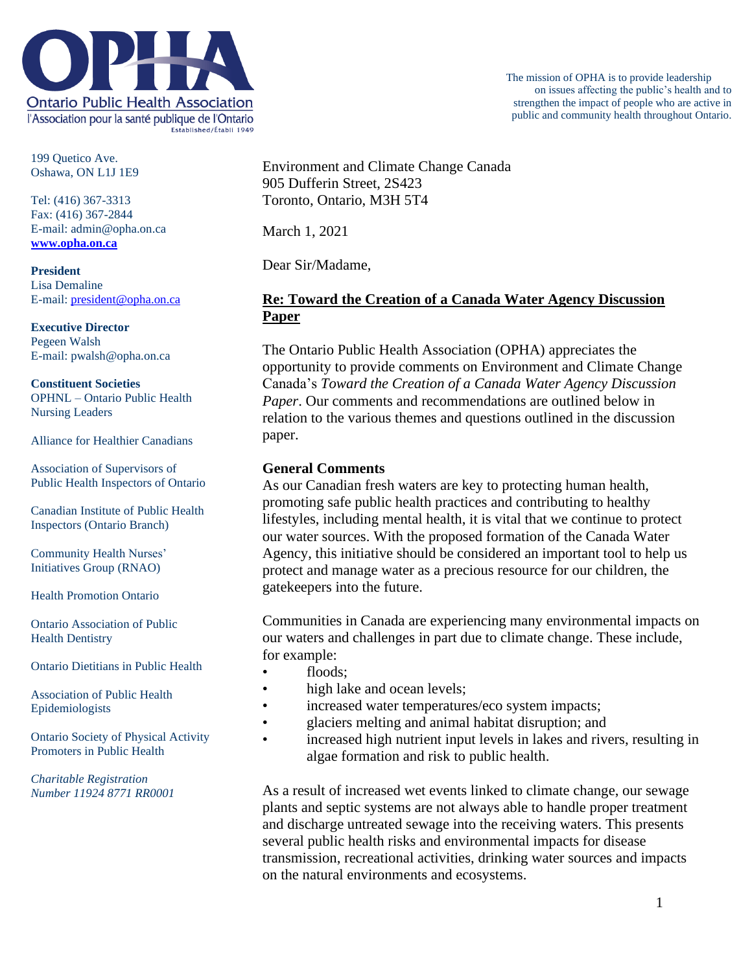

199 Quetico Ave. Oshawa, ON L1J 1E9

Tel: (416) 367-3313 Fax: (416) 367-2844 E-mail: admin@opha.on.ca **[www.opha.on.ca](http://www.opha.on.ca/)**

**President** Lisa Demaline E-mail[: president@opha.on.ca](mailto:president@opha.on.ca)

**Executive Director** Pegeen Walsh E-mail: pwalsh@opha.on.ca

**Constituent Societies** OPHNL – Ontario Public Health Nursing Leaders

Alliance for Healthier Canadians

Association of Supervisors of Public Health Inspectors of Ontario

Canadian Institute of Public Health Inspectors (Ontario Branch)

Community Health Nurses' Initiatives Group (RNAO)

Health Promotion Ontario

Ontario Association of Public Health Dentistry

Ontario Dietitians in Public Health

Association of Public Health Epidemiologists

Ontario Society of Physical Activity Promoters in Public Health

*Charitable Registration Number 11924 8771 RR0001* Environment and Climate Change Canada 905 Dufferin Street, 2S423 Toronto, Ontario, M3H 5T4

March 1, 2021

Dear Sir/Madame,

#### **Re: Toward the Creation of a Canada Water Agency Discussion Paper**

The Ontario Public Health Association (OPHA) appreciates the opportunity to provide comments on Environment and Climate Change Canada's *Toward the Creation of a Canada Water Agency Discussion Paper*. Our comments and recommendations are outlined below in relation to the various themes and questions outlined in the discussion paper.

#### **General Comments**

As our Canadian fresh waters are key to protecting human health, promoting safe public health practices and contributing to healthy lifestyles, including mental health, it is vital that we continue to protect our water sources. With the proposed formation of the Canada Water Agency, this initiative should be considered an important tool to help us protect and manage water as a precious resource for our children, the gatekeepers into the future.

Communities in Canada are experiencing many environmental impacts on our waters and challenges in part due to climate change. These include, for example:

- floods;
- high lake and ocean levels;
- increased water temperatures/eco system impacts;
- glaciers melting and animal habitat disruption; and
- increased high nutrient input levels in lakes and rivers, resulting in algae formation and risk to public health.

As a result of increased wet events linked to climate change, our sewage plants and septic systems are not always able to handle proper treatment and discharge untreated sewage into the receiving waters. This presents several public health risks and environmental impacts for disease transmission, recreational activities, drinking water sources and impacts on the natural environments and ecosystems.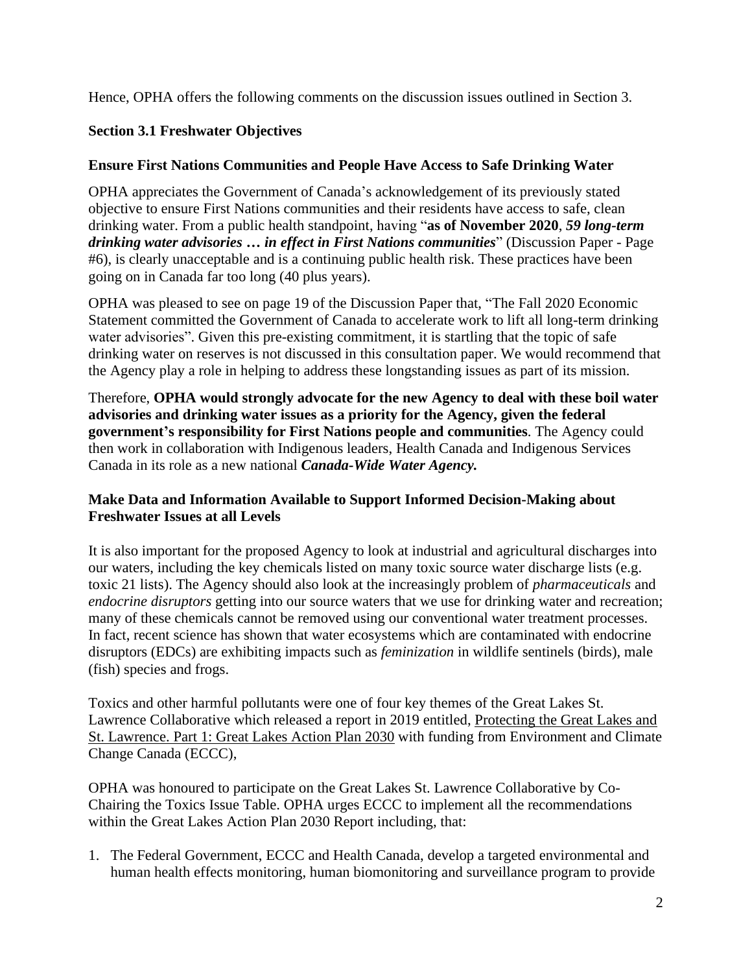Hence, OPHA offers the following comments on the discussion issues outlined in Section 3.

# **Section 3.1 Freshwater Objectives**

## **Ensure First Nations Communities and People Have Access to Safe Drinking Water**

OPHA appreciates the Government of Canada's acknowledgement of its previously stated objective to ensure First Nations communities and their residents have access to safe, clean drinking water. From a public health standpoint, having "**as of November 2020**, *59 long-term drinking water advisories … in effect in First Nations communities*" (Discussion Paper - Page #6), is clearly unacceptable and is a continuing public health risk. These practices have been going on in Canada far too long (40 plus years).

OPHA was pleased to see on page 19 of the Discussion Paper that, "The Fall 2020 Economic Statement committed the Government of Canada to accelerate work to lift all long-term drinking water advisories". Given this pre-existing commitment, it is startling that the topic of safe drinking water on reserves is not discussed in this consultation paper. We would recommend that the Agency play a role in helping to address these longstanding issues as part of its mission.

Therefore, **OPHA would strongly advocate for the new Agency to deal with these boil water advisories and drinking water issues as a priority for the Agency, given the federal government's responsibility for First Nations people and communities**. The Agency could then work in collaboration with Indigenous leaders, Health Canada and Indigenous Services Canada in its role as a new national *Canada-Wide Water Agency.*

## **Make Data and Information Available to Support Informed Decision-Making about Freshwater Issues at all Levels**

It is also important for the proposed Agency to look at industrial and agricultural discharges into our waters, including the key chemicals listed on many toxic source water discharge lists (e.g. toxic 21 lists). The Agency should also look at the increasingly problem of *pharmaceuticals* and *endocrine disruptors* getting into our source waters that we use for drinking water and recreation; many of these chemicals cannot be removed using our conventional water treatment processes. In fact, recent science has shown that water ecosystems which are contaminated with endocrine disruptors (EDCs) are exhibiting impacts such as *feminization* in wildlife sentinels (birds), male (fish) species and frogs.

Toxics and other harmful pollutants were one of four key themes of the Great Lakes St. Lawrence Collaborative which released a report in 2019 entitled, [Protecting the Great Lakes and](file:///C:/Users/PWalsh/AppData/Local/Microsoft/Windows/INetCache/Content.Outlook/NWA87KEM/with%20funding%20support%20from%20Environment%20and%20Climate%20Change%20Canada%20(ECCC),)  [St. Lawrence. Part 1: Great Lakes Action Plan 2030](file:///C:/Users/PWalsh/AppData/Local/Microsoft/Windows/INetCache/Content.Outlook/NWA87KEM/with%20funding%20support%20from%20Environment%20and%20Climate%20Change%20Canada%20(ECCC),) with funding from Environment and Climate Change Canada (ECCC),

OPHA was honoured to participate on the Great Lakes St. Lawrence Collaborative by Co-Chairing the Toxics Issue Table. OPHA urges ECCC to implement all the recommendations within the Great Lakes Action Plan 2030 Report including, that:

1. The Federal Government, ECCC and Health Canada, develop a targeted environmental and human health effects monitoring, human biomonitoring and surveillance program to provide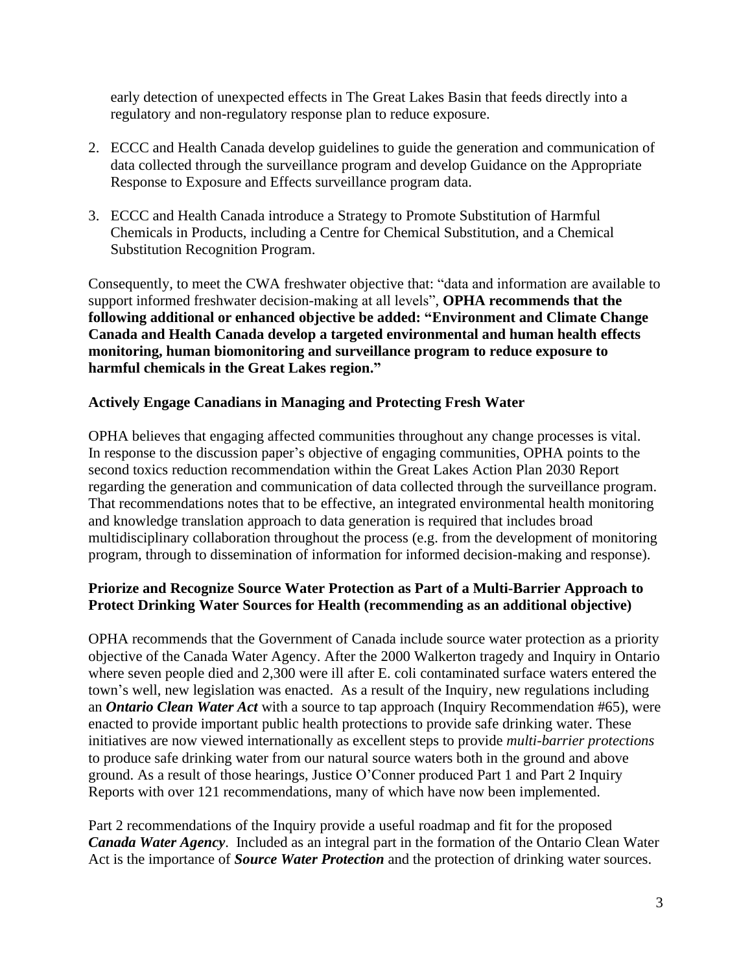early detection of unexpected effects in The Great Lakes Basin that feeds directly into a regulatory and non-regulatory response plan to reduce exposure.

- 2. ECCC and Health Canada develop guidelines to guide the generation and communication of data collected through the surveillance program and develop Guidance on the Appropriate Response to Exposure and Effects surveillance program data.
- 3. ECCC and Health Canada introduce a Strategy to Promote Substitution of Harmful Chemicals in Products, including a Centre for Chemical Substitution, and a Chemical Substitution Recognition Program.

Consequently, to meet the CWA freshwater objective that: "data and information are available to support informed freshwater decision-making at all levels", **OPHA recommends that the following additional or enhanced objective be added: "Environment and Climate Change Canada and Health Canada develop a targeted environmental and human health effects monitoring, human biomonitoring and surveillance program to reduce exposure to harmful chemicals in the Great Lakes region."**

#### **Actively Engage Canadians in Managing and Protecting Fresh Water**

OPHA believes that engaging affected communities throughout any change processes is vital. In response to the discussion paper's objective of engaging communities, OPHA points to the second toxics reduction recommendation within the Great Lakes Action Plan 2030 Report regarding the generation and communication of data collected through the surveillance program. That recommendations notes that to be effective, an integrated environmental health monitoring and knowledge translation approach to data generation is required that includes broad multidisciplinary collaboration throughout the process (e.g. from the development of monitoring program, through to dissemination of information for informed decision-making and response).

#### **Priorize and Recognize Source Water Protection as Part of a Multi-Barrier Approach to Protect Drinking Water Sources for Health (recommending as an additional objective)**

OPHA recommends that the Government of Canada include source water protection as a priority objective of the Canada Water Agency. After the 2000 Walkerton tragedy and Inquiry in Ontario where seven people died and 2,300 were ill after E. coli contaminated surface waters entered the town's well, new legislation was enacted. As a result of the Inquiry, new regulations including an *Ontario Clean Water Act* with a source to tap approach (Inquiry Recommendation #65), were enacted to provide important public health protections to provide safe drinking water. These initiatives are now viewed internationally as excellent steps to provide *multi-barrier protections* to produce safe drinking water from our natural source waters both in the ground and above ground. As a result of those hearings, Justice O'Conner produced Part 1 and Part 2 Inquiry Reports with over 121 recommendations, many of which have now been implemented.

Part 2 recommendations of the Inquiry provide a useful roadmap and fit for the proposed *Canada Water Agency*. Included as an integral part in the formation of the Ontario Clean Water Act is the importance of *Source Water Protection* and the protection of drinking water sources.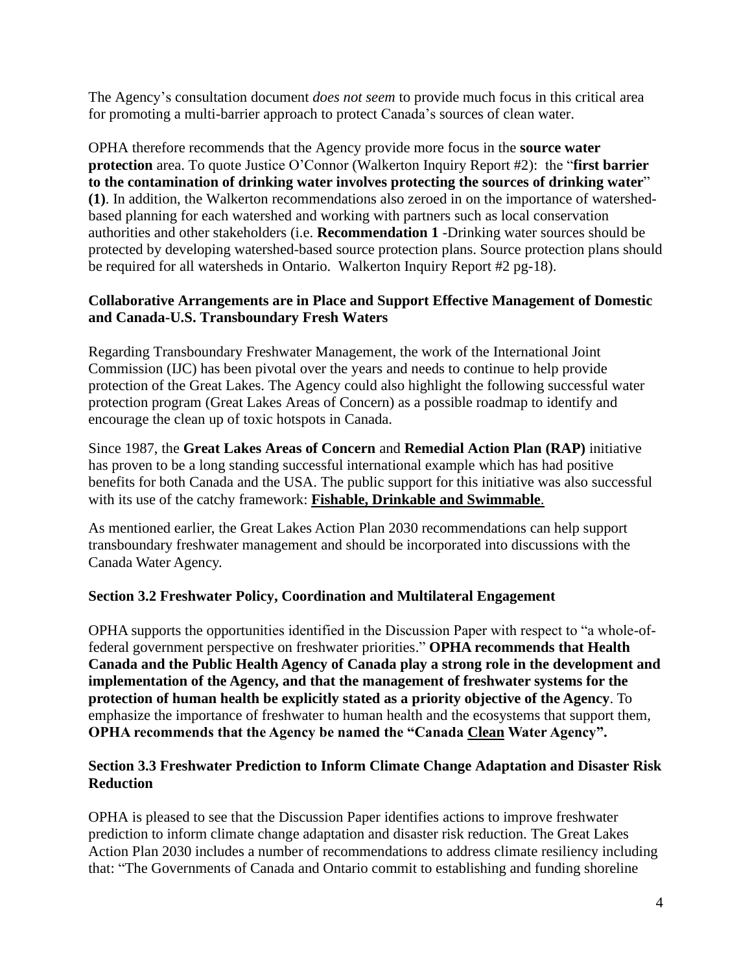The Agency's consultation document *does not seem* to provide much focus in this critical area for promoting a multi-barrier approach to protect Canada's sources of clean water.

OPHA therefore recommends that the Agency provide more focus in the **source water protection** area. To quote Justice O'Connor (Walkerton Inquiry Report #2): the "**first barrier to the contamination of drinking water involves protecting the sources of drinking water**" **(1)**. In addition, the Walkerton recommendations also zeroed in on the importance of watershedbased planning for each watershed and working with partners such as local conservation authorities and other stakeholders (i.e. **Recommendation 1** -Drinking water sources should be protected by developing watershed-based source protection plans. Source protection plans should be required for all watersheds in Ontario. Walkerton Inquiry Report #2 pg-18).

## **Collaborative Arrangements are in Place and Support Effective Management of Domestic and Canada-U.S. Transboundary Fresh Waters**

Regarding Transboundary Freshwater Management, the work of the International Joint Commission (IJC) has been pivotal over the years and needs to continue to help provide protection of the Great Lakes. The Agency could also highlight the following successful water protection program (Great Lakes Areas of Concern) as a possible roadmap to identify and encourage the clean up of toxic hotspots in Canada.

Since 1987, the **Great Lakes Areas of Concern** and **Remedial Action Plan (RAP)** initiative has proven to be a long standing successful international example which has had positive benefits for both Canada and the USA. The public support for this initiative was also successful with its use of the catchy framework: **[Fishable, Drinkable and Swimmable](https://www.canada.ca/en/environment-climate-change/services/great-lakes-protection/areas-concern.html)**.

As mentioned earlier, the Great Lakes Action Plan 2030 recommendations can help support transboundary freshwater management and should be incorporated into discussions with the Canada Water Agency.

#### **Section 3.2 Freshwater Policy, Coordination and Multilateral Engagement**

OPHA supports the opportunities identified in the Discussion Paper with respect to "a whole-offederal government perspective on freshwater priorities." **OPHA recommends that Health Canada and the Public Health Agency of Canada play a strong role in the development and implementation of the Agency, and that the management of freshwater systems for the protection of human health be explicitly stated as a priority objective of the Agency**. To emphasize the importance of freshwater to human health and the ecosystems that support them, **OPHA recommends that the Agency be named the "Canada Clean Water Agency".**

#### **Section 3.3 Freshwater Prediction to Inform Climate Change Adaptation and Disaster Risk Reduction**

OPHA is pleased to see that the Discussion Paper identifies actions to improve freshwater prediction to inform climate change adaptation and disaster risk reduction. The Great Lakes Action Plan 2030 includes a number of recommendations to address climate resiliency including that: "The Governments of Canada and Ontario commit to establishing and funding shoreline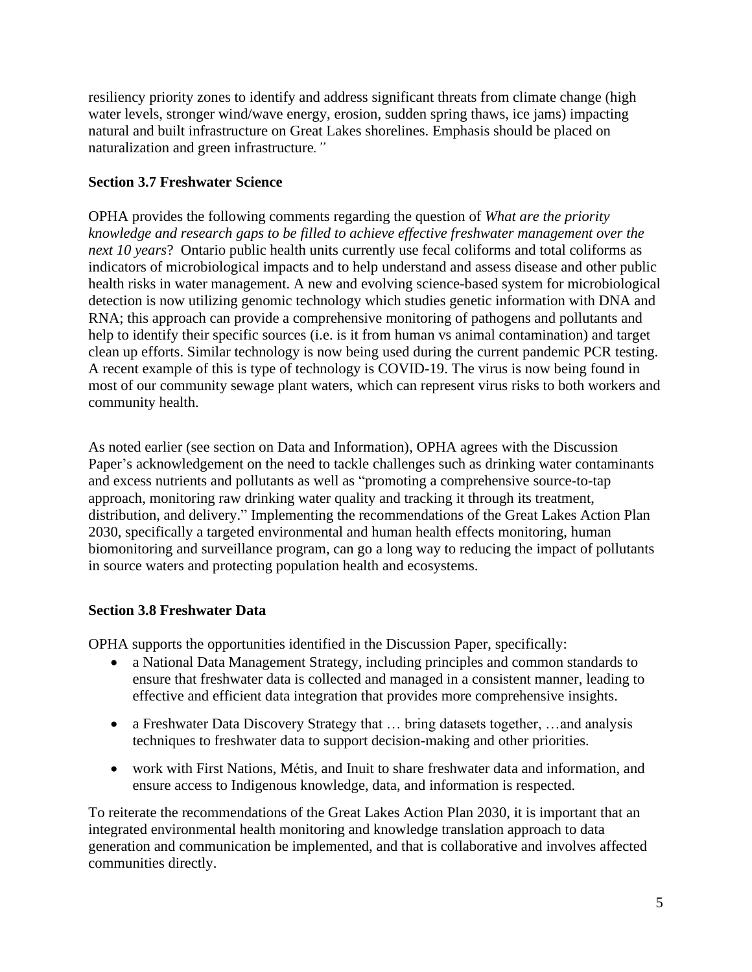resiliency priority zones to identify and address significant threats from climate change (high water levels, stronger wind/wave energy, erosion, sudden spring thaws, ice jams) impacting natural and built infrastructure on Great Lakes shorelines. Emphasis should be placed on naturalization and green infrastructure*."*

## **Section 3.7 Freshwater Science**

OPHA provides the following comments regarding the question of *What are the priority knowledge and research gaps to be filled to achieve effective freshwater management over the next 10 years*? Ontario public health units currently use fecal coliforms and total coliforms as indicators of microbiological impacts and to help understand and assess disease and other public health risks in water management. A new and evolving science-based system for microbiological detection is now utilizing genomic technology which studies genetic information with DNA and RNA; this approach can provide a comprehensive monitoring of pathogens and pollutants and help to identify their specific sources (i.e. is it from human vs animal contamination) and target clean up efforts. Similar technology is now being used during the current pandemic PCR testing. A recent example of this is type of technology is COVID-19. The virus is now being found in most of our community sewage plant waters, which can represent virus risks to both workers and community health.

As noted earlier (see section on Data and Information), OPHA agrees with the Discussion Paper's acknowledgement on the need to tackle challenges such as drinking water contaminants and excess nutrients and pollutants as well as "promoting a comprehensive source-to-tap approach, monitoring raw drinking water quality and tracking it through its treatment, distribution, and delivery." Implementing the recommendations of the Great Lakes Action Plan 2030, specifically a targeted environmental and human health effects monitoring, human biomonitoring and surveillance program, can go a long way to reducing the impact of pollutants in source waters and protecting population health and ecosystems.

# **Section 3.8 Freshwater Data**

OPHA supports the opportunities identified in the Discussion Paper, specifically:

- a National Data Management Strategy, including principles and common standards to ensure that freshwater data is collected and managed in a consistent manner, leading to effective and efficient data integration that provides more comprehensive insights.
- a Freshwater Data Discovery Strategy that ... bring datasets together, ... and analysis techniques to freshwater data to support decision-making and other priorities.
- work with First Nations, Métis, and Inuit to share freshwater data and information, and ensure access to Indigenous knowledge, data, and information is respected.

To reiterate the recommendations of the Great Lakes Action Plan 2030, it is important that an integrated environmental health monitoring and knowledge translation approach to data generation and communication be implemented, and that is collaborative and involves affected communities directly.